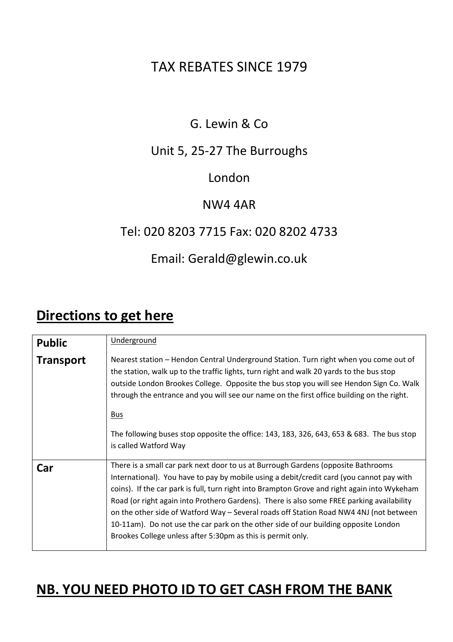# TAX REBATES SINCE 1979

## G. Lewin & Co

### Unit 5, 25-27 The Burroughs

### London

### NW4 4AR

### Tel: 020 8203 7715 Fax: 020 8202 4733

### Email: Gerald@glewin.co.uk

# **Directions to get here**

| <b>Public</b>    | Underground                                                                                                                                                                                                                                                                                                                                                                                                                                                                                                                                                                                                                |
|------------------|----------------------------------------------------------------------------------------------------------------------------------------------------------------------------------------------------------------------------------------------------------------------------------------------------------------------------------------------------------------------------------------------------------------------------------------------------------------------------------------------------------------------------------------------------------------------------------------------------------------------------|
| <b>Transport</b> | Nearest station – Hendon Central Underground Station. Turn right when you come out of<br>the station, walk up to the traffic lights, turn right and walk 20 yards to the bus stop<br>outside London Brookes College. Opposite the bus stop you will see Hendon Sign Co. Walk<br>through the entrance and you will see our name on the first office building on the right.<br><u>Bus</u><br>The following buses stop opposite the office: 143, 183, 326, 643, 653 & 683. The bus stop<br>is called Watford Way                                                                                                              |
| Car              | There is a small car park next door to us at Burrough Gardens (opposite Bathrooms<br>International). You have to pay by mobile using a debit/credit card (you cannot pay with<br>coins). If the car park is full, turn right into Brampton Grove and right again into Wykeham<br>Road (or right again into Prothero Gardens). There is also some FREE parking availability<br>on the other side of Watford Way - Several roads off Station Road NW4 4NJ (not between<br>10-11am). Do not use the car park on the other side of our building opposite London<br>Brookes College unless after 5:30pm as this is permit only. |

# **NB. YOU NEED PHOTO ID TO GET CASH FROM THE BANK**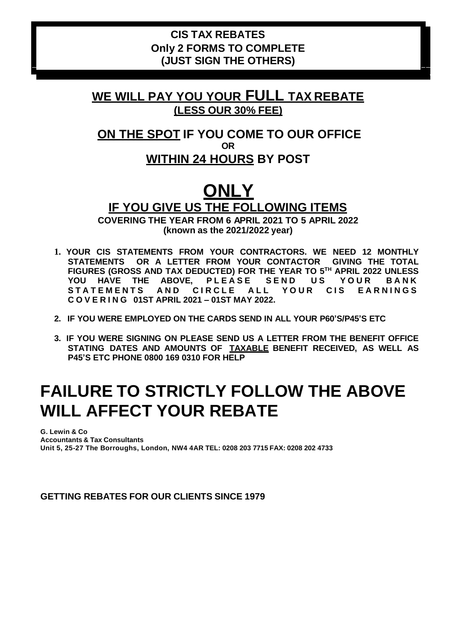### **CIS TAX REBATES Only 2 FORMS TO COMPLETE (JUST SIGN THE OTHERS)**

### **WE WILL PAY YOU YOUR FULL TAX REBATE (LESS OUR 30% FEE)**

### **ON THE SPOT IF YOU COME TO OUR OFFICE OR WITHIN 24 HOURS BY POST**

# **ONLY IF YOU GIVE US THE FOLLOWING ITEMS**

**COVERING THE YEAR FROM 6 APRIL 2021 TO 5 APRIL 2022 (known as the 2021/2022 year)**

- **1. YOUR CIS STATEMENTS FROM YOUR CONTRACTORS. WE NEED 12 MONTHLY STATEMENTS OR A LETTER FROM YOUR CONTACTOR GIVING THE TOTAL FIGURES (GROSS AND TAX DEDUCTED) FOR THE YEAR TO 5TH APRIL 2022 UNLESS**  YOU HAVE THE ABOVE, PLEASE SEND US YOUR BANK STATEMENTS AND CIRCLE ALL YOUR CIS EARNINGS **C O V E R I N G 01ST APRIL 2021 – 01ST MAY 2022.**
- **2. IF YOU WERE EMPLOYED ON THE CARDS SEND IN ALL YOUR P60'S/P45'S ETC**
- **3. IF YOU WERE SIGNING ON PLEASE SEND US A LETTER FROM THE BENEFIT OFFICE STATING DATES AND AMOUNTS OF TAXABLE BENEFIT RECEIVED, AS WELL AS P45'S ETC PHONE 0800 169 0310 FOR HELP**

# **FAILURE TO STRICTLY FOLLOW THE ABOVE WILL AFFECT YOUR REBATE**

**G. Lewin & Co Accountants & Tax Consultants Unit 5, 25-27 The Borroughs, London, NW4 4AR TEL: 0208 203 7715 FAX: 0208 202 4733**

**GETTING REBATES FOR OUR CLIENTS SINCE 1979**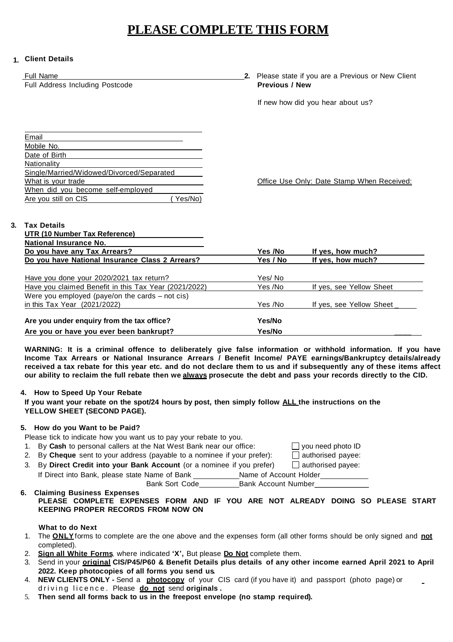### **PLEASE COMPLETE THIS FORM**

#### **1. Client Details**

|    | <b>Full Name</b><br>Full Address Including Postcode                  | <b>Previous / New</b> | 2. Please state if you are a Previous or New Client |
|----|----------------------------------------------------------------------|-----------------------|-----------------------------------------------------|
|    |                                                                      |                       | If new how did you hear about us?                   |
|    |                                                                      |                       |                                                     |
|    |                                                                      |                       |                                                     |
|    | Email                                                                |                       |                                                     |
|    | Mobile No.                                                           |                       |                                                     |
|    | Date of Birth                                                        |                       |                                                     |
|    | Nationality                                                          |                       |                                                     |
|    | Single/Married/Widowed/Divorced/Separated                            |                       |                                                     |
|    | What is your trade                                                   |                       | Office Use Only: Date Stamp When Received:          |
|    | When did you become self-employed<br>Yes/No)<br>Are you still on CIS |                       |                                                     |
|    |                                                                      |                       |                                                     |
|    |                                                                      |                       |                                                     |
| 3. | <b>Tax Details</b>                                                   |                       |                                                     |
|    | UTR (10 Number Tax Reference)                                        |                       |                                                     |
|    | <b>National Insurance No.</b>                                        |                       |                                                     |
|    | Do you have any Tax Arrears?                                         | Yes /No               | If yes, how much?                                   |
|    | Do you have National Insurance Class 2 Arrears?                      | Yes / No              | If yes, how much?                                   |
|    |                                                                      |                       |                                                     |
|    | Have you done your 2020/2021 tax return?                             | Yes/No                |                                                     |
|    | Have you claimed Benefit in this Tax Year (2021/2022)                | Yes /No               | If yes, see Yellow Sheet                            |
|    | Were you employed (paye/on the cards $-$ not cis)                    |                       |                                                     |
|    | in this Tax Year (2021/2022)                                         | Yes /No               | If yes, see Yellow Sheet                            |
|    | Are you under enquiry from the tax office?                           | Yes/No                |                                                     |
|    | Are you or have you ever been bankrupt?                              | Yes/No                |                                                     |

**WARNING: It is a criminal offence to deliberately give false information or withhold information. If you have Income Tax Arrears or National Insurance Arrears / Benefit Income/ PAYE earnings/Bankruptcy details/already** received a tax rebate for this year etc. and do not declare them to us and if subsequently any of these items affect our ability to reclaim the full rebate then we always prosecute the debt and pass your records directly to the CID.

#### **4. How to Speed Up Your Rebate**

If you want your rebate on the spot/24 hours by post, then simply follow ALL the instructions on the **YELLOW SHEET (SECOND PAGE).**

#### **5. How do you Want to be Paid?**

- Please tick to indicate how you want us to pay your rebate to you.
- 1. By **Cash** to personal callers at the Nat West Bank near our office:  $\Box$  you need photo ID
- 2. By **Cheque** sent to your address (payable to a nominee if your prefer):  $\Box$  authorised payee:
- 3. By **Direct Credit into your Bank Account** (or a nominee if you prefer) authorised payee: If Direct into Bank, please state Name of Bank Name of Bank \_\_\_\_\_\_\_\_\_\_\_\_\_Name of Account Holder\_\_<br>Bank Sort Code\_\_\_\_\_\_\_\_\_\_\_\_Bank Account Number\_\_\_

**6. Claiming Business Expenses PLEASE COMPLETE EXPENSES FORM AND IF YOU ARE NOT ALREADY DOING SO PLEASE START KEEPING PROPER RECORDS FROM NOW ON**

#### **What to do Next**

- 1. The **ONLY**forms to complete are the one above and the expenses form (all other forms should be only signed and **not** completed).
- 2. **Sign all White Forms**, where indicated **'X',** But please **Do Not** complete them.
- 3. Send in your **original CIS/P45/P60 & Benefit Details plus details of any other income earned April 2021 to April 2022. Keep photocopies of all forms you send us.**
- 4. **NEW CLIENTS ONLY -** Send a **photocopy** of your CIS card (if you have it) and passport (photo page) or driving licence. Please **do not** send **originals**.
- 5. **Then send all forms back to us in the freepost envelope (no stamp required).**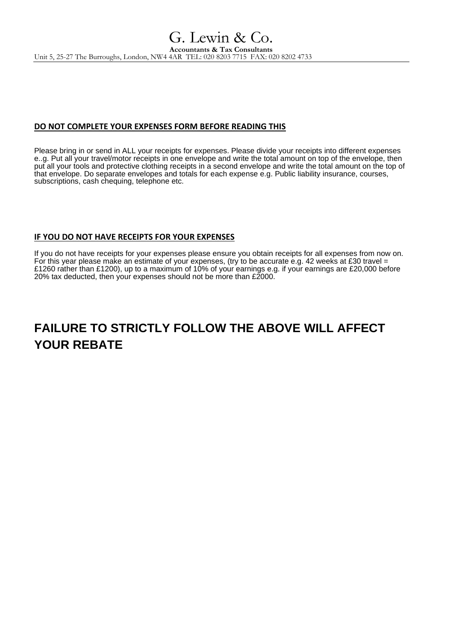#### **DO NOT COMPLETE YOUR EXPENSES FORM BEFORE READING THIS**

Please bring in or send in ALL your receipts for expenses. Please divide your receipts into different expenses e..g. Put all your travel/motor receipts in one envelope and write the total amount on top of the envelope, then put all your tools and protective clothing receipts in a second envelope and write the total amount on the top of that envelope. Do separate envelopes and totals for each expense e.g. Public liability insurance, courses, subscriptions, cash chequing, telephone etc.

#### **IF YOU DO NOT HAVE RECEIPTS FOR YOUR EXPENSES**

If you do not have receipts for your expenses please ensure you obtain receipts for all expenses from now on. For this year please make an estimate of your expenses, (try to be accurate e.g. 42 weeks at £30 travel = £1260 rather than £1200), up to a maximum of 10% of your earnings e.g. if your earnings are £20,000 before 20% tax deducted, then your expenses should not be more than £2000.

# **FAILURE TO STRICTLY FOLLOW THE ABOVE WILL AFFECT YOUR REBATE**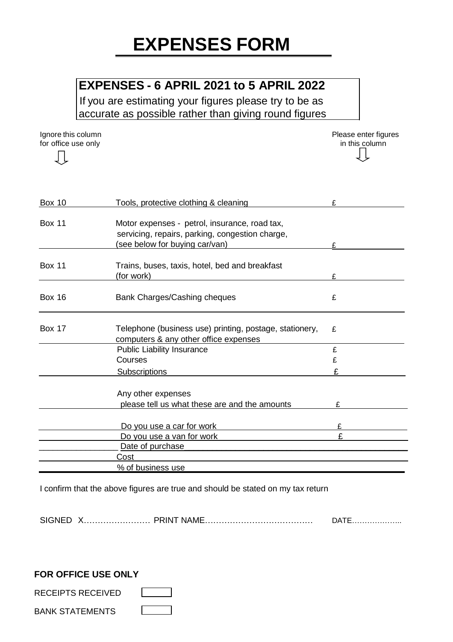### **EXPENSES - 6 APRIL 2021 to 5 APRIL 2022**

If you are estimating your figures please try to be as accurate as possible rather than giving round figures

for office use only

Ignore this column **Please enter figures**<br> **Ignore this column**<br> **Ignore this column**<br> **Ignore this column** 

| <b>Box 10</b> | Tools, protective clothing & cleaning                                                                                              | £ |
|---------------|------------------------------------------------------------------------------------------------------------------------------------|---|
| <b>Box 11</b> | Motor expenses - petrol, insurance, road tax,<br>servicing, repairs, parking, congestion charge,<br>(see below for buying car/van) |   |
| <b>Box 11</b> | Trains, buses, taxis, hotel, bed and breakfast<br>(for work)                                                                       |   |
| <b>Box 16</b> | Bank Charges/Cashing cheques                                                                                                       | £ |
| <b>Box 17</b> | Telephone (business use) printing, postage, stationery,<br>computers & any other office expenses                                   | £ |
|               | <b>Public Liability Insurance</b>                                                                                                  | £ |
|               | Courses                                                                                                                            | £ |
|               | <b>Subscriptions</b>                                                                                                               | £ |
|               | Any other expenses                                                                                                                 |   |
|               | please tell us what these are and the amounts                                                                                      |   |
|               | Do you use a car for work                                                                                                          |   |
|               | Do you use a van for work                                                                                                          | £ |
|               | Date of purchase                                                                                                                   |   |
|               | Cost                                                                                                                               |   |
|               | % of business use                                                                                                                  |   |

I confirm that the above figures are true and should be stated on my tax return

| SIGNED<br>ے ۔ |  | . תוכ<br>KIIV | ۱Δ<br>. |
|---------------|--|---------------|---------|
|---------------|--|---------------|---------|

#### **FOR OFFICE USE ONLY**

RECEIPTS RECEIVED

BANK STATEMENTS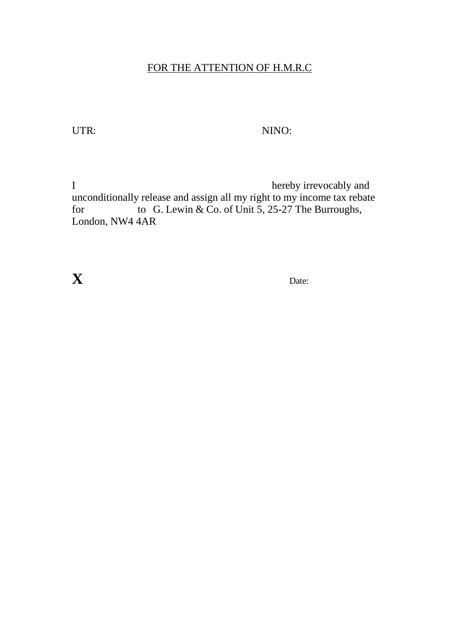### FOR THE ATTENTION OF H.M.R.C

### UTR: NINO:

I hereby irrevocably and unconditionally release and assign all my right to my income tax rebate<br>for to G. Lewin & Co. of Unit 5, 25-27 The Burroughs, to G. Lewin & Co. of Unit 5, 25-27 The Burroughs, London, NW4 4AR

**X** Date: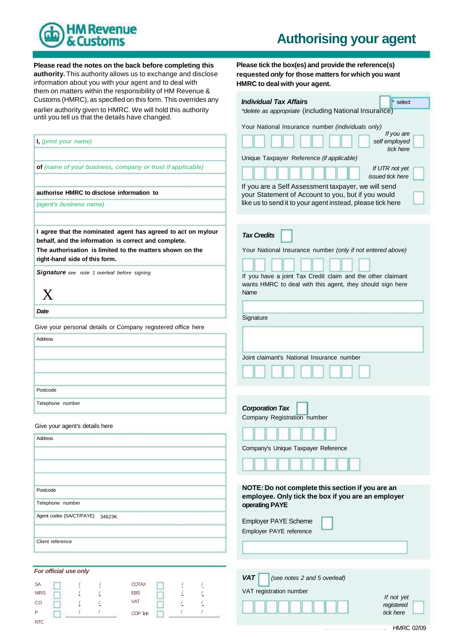

# **Authorising your agent**

**Please read the notes on the back before completing this authority.** This authority allows us to exchange and disclose information about you with your agent and to deal with them on matters within the responsibility of HM Revenue &<br>Customs (HMRC), as specified on this form. This overrides a earlier authority given to HMRC. We will hold this authority until you tell us that the details have changed.

**Please tick the box(es) and provide the reference(s) requested** *only* **for those matters for which you want HMRC to deal with your agent.**

| Customs (HMRC), as specified on this form. This overrides any                                                                                                                                                     | <b>Individual Tax Affairs</b><br>select                                                                                          |
|-------------------------------------------------------------------------------------------------------------------------------------------------------------------------------------------------------------------|----------------------------------------------------------------------------------------------------------------------------------|
| earlier authority given to HMRC. We will hold this authority                                                                                                                                                      | *delete as appropriate (including National Insurance)                                                                            |
| until you tell us that the details have changed.                                                                                                                                                                  | Your National Insurance number (individuals only)                                                                                |
|                                                                                                                                                                                                                   | If you are                                                                                                                       |
| I, (print your name)                                                                                                                                                                                              | self employed<br>tick here                                                                                                       |
|                                                                                                                                                                                                                   | Unique Taxpayer Reference (if applicable)                                                                                        |
| of (name of your business, company or trust if applicable)                                                                                                                                                        | If UTR not yet<br>issued tick here                                                                                               |
| authorise HMRC to disclose information to                                                                                                                                                                         | If you are a Self Assessment taxpayer, we will send<br>your Statement of Account to you, but if you would                        |
| (agent's business name)                                                                                                                                                                                           | like us to send it to your agent instead, please tick here                                                                       |
| I agree that the nominated agent has agreed to act on my/our<br>behalf, and the information is correct and complete.<br>The authorisation is limited to the matters shown on the<br>right-hand side of this form. | <b>Tax Credits</b><br>Your National Insurance number (only if not entered above)                                                 |
| <b>Signature</b> see note 1 overleaf before signing<br>X                                                                                                                                                          | If you have a joint Tax Credit claim and the other claimant<br>wants HMRC to deal with this agent, they should sign here<br>Name |
| Date                                                                                                                                                                                                              |                                                                                                                                  |
| Give your personal details or Company registered office here                                                                                                                                                      | Signature                                                                                                                        |
| <b>Address</b>                                                                                                                                                                                                    |                                                                                                                                  |
|                                                                                                                                                                                                                   |                                                                                                                                  |
|                                                                                                                                                                                                                   | Joint claimant's National Insurance number                                                                                       |
|                                                                                                                                                                                                                   |                                                                                                                                  |
| Postcode                                                                                                                                                                                                          |                                                                                                                                  |
| Telephone number                                                                                                                                                                                                  | <b>Corporation Tax</b><br>Company Registration number                                                                            |
| Give your agent's details here                                                                                                                                                                                    |                                                                                                                                  |
| Address                                                                                                                                                                                                           |                                                                                                                                  |
|                                                                                                                                                                                                                   | Company's Unique Taxpayer Reference                                                                                              |
|                                                                                                                                                                                                                   |                                                                                                                                  |
|                                                                                                                                                                                                                   | NOTE: Do not complete this section if you are an                                                                                 |
| Postcode                                                                                                                                                                                                          | employee. Only tick the box if you are an employer                                                                               |
| Telephone number                                                                                                                                                                                                  | operating PAYE                                                                                                                   |
| Agent codes (SA/CT/PAYE)<br>34623K                                                                                                                                                                                | Employer PAYE Scheme<br>Employer PAYE reference                                                                                  |
| Client reference                                                                                                                                                                                                  |                                                                                                                                  |
| For official use only                                                                                                                                                                                             |                                                                                                                                  |
| <b>COTAX</b><br>SA<br><b>EBS</b><br><b>NIRS</b><br><b>VAT</b><br>CO                                                                                                                                               | <b>VAT</b><br>(see notes 2 and 5 overleaf)<br>VAT registration number<br>If not yet<br>registered                                |
| P<br>COP link<br><b>NTC</b>                                                                                                                                                                                       | tick here                                                                                                                        |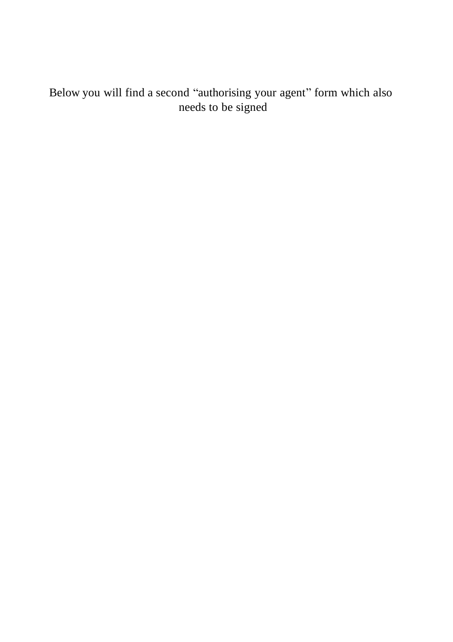Below you will find a second "authorising your agent" form which also needs to be signed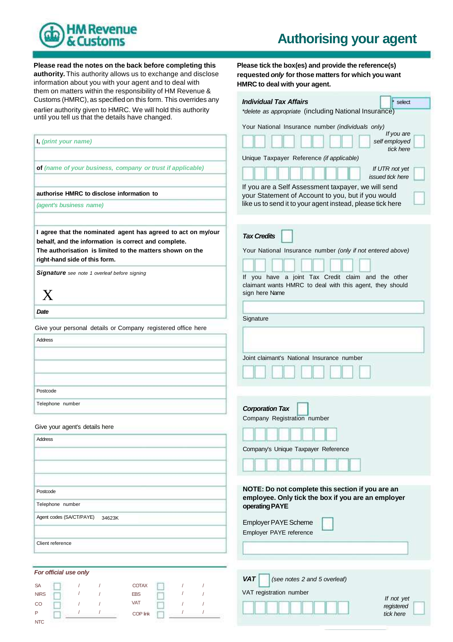

## **Authorising your agent**

*If you are*

*tick here*

**Please read the notes on the back before completing this authority.** This authority allows us to exchange and disclose information about you with your agent and to deal with them on matters within the responsibility of HM Revenue & **Please tick the box(es) and provide the reference(s) requested** *only* **for those matters for which you want HMRC to deal with your agent.** Customs (HMRC), as specified on this form. This overrides any *Individual Tax Affairs* earlier authority given to HMRC. We will hold this authority until you tell us that the details have changed. *\*delete as appropriate* (including National Insurance) Your National Insurance number *(individuals only)* **I,** *(print your name)* **of** *(name of your business, company or trust if applicable)* Unique Taxpayer Reference *(if applicable) self employed If UTR not yet issued tick here* **authorise HMRC to disclose information to** *(agent's business name)* **I agree that the nominated agent has agreed to act on my/our behalf, and the information is correct and complete. The authorisation is limited to the matters shown on the right-hand side of this form.** *Signature see note 1 overleaf before signing* X *Date* Give your personal details or Company registered office here Address If you are a Self Assessment taxpayer, we will send your Statement of Account to you, but if you would like us to send it to your agent instead, please tick here *Tax Credits* Your National Insurance number *(only if not entered above)* If you have a joint Tax Credit claim and the other claimant wants HMRC to deal with this agent, they should sign here Name **Signature** Joint claimant's National Insurance number Postcode Telephone number Give your agent's details here Address *Corporation Tax* Company Registration number Company's Unique Taxpayer Reference Postcode Telephone number Agent codes (SA/CT/PAYE) 34623KClient reference **NOTE: Do not complete this section if you are an employee. Only tick the box if you are an employer operating PAYE** Employer PAYE Scheme Employer PAYE reference

|             | For official use only |  |              |  | <b>VAT</b><br>(see notes 2 a |
|-------------|-----------------------|--|--------------|--|------------------------------|
| <b>SA</b>   |                       |  | <b>COTAX</b> |  |                              |
| <b>NIRS</b> |                       |  | <b>EBS</b>   |  | VAT registration number      |
| CO          |                       |  | <b>VAT</b>   |  |                              |
|             |                       |  | COP link     |  |                              |
| <b>NTC</b>  |                       |  |              |  |                              |

| <b>VAT</b><br>(see notes 2 and 5 overleaf) |                                       |
|--------------------------------------------|---------------------------------------|
|                                            |                                       |
| VAT registration number                    |                                       |
|                                            | If not yet<br>registered<br>tick here |
|                                            |                                       |